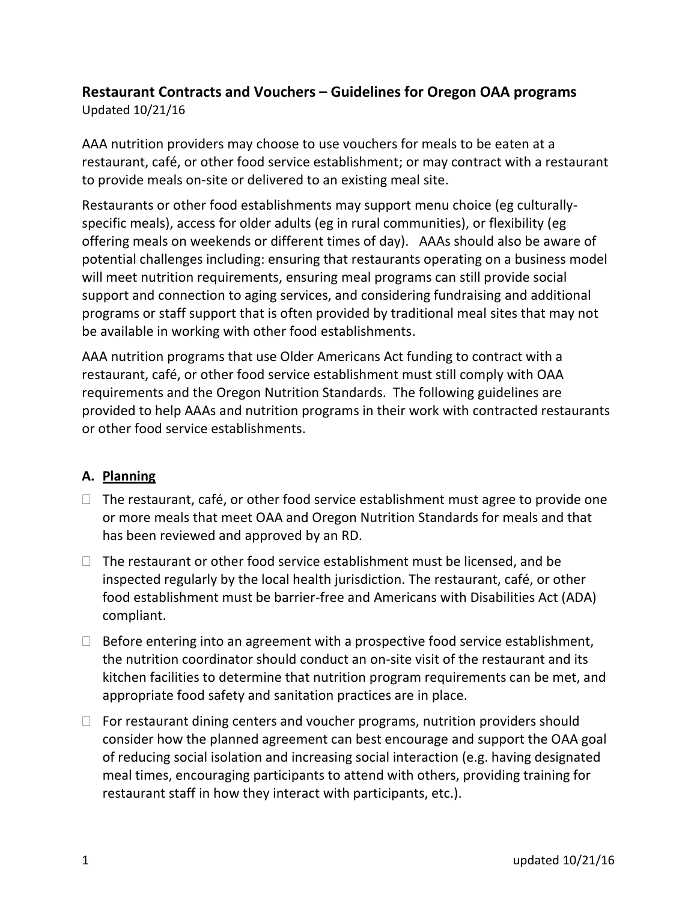## **Restaurant Contracts and Vouchers – Guidelines for Oregon OAA programs**

Updated 10/21/16

AAA nutrition providers may choose to use vouchers for meals to be eaten at a restaurant, café, or other food service establishment; or may contract with a restaurant to provide meals on-site or delivered to an existing meal site.

Restaurants or other food establishments may support menu choice (eg culturallyspecific meals), access for older adults (eg in rural communities), or flexibility (eg offering meals on weekends or different times of day). AAAs should also be aware of potential challenges including: ensuring that restaurants operating on a business model will meet nutrition requirements, ensuring meal programs can still provide social support and connection to aging services, and considering fundraising and additional programs or staff support that is often provided by traditional meal sites that may not be available in working with other food establishments.

AAA nutrition programs that use Older Americans Act funding to contract with a restaurant, café, or other food service establishment must still comply with OAA requirements and the Oregon Nutrition Standards. The following guidelines are provided to help AAAs and nutrition programs in their work with contracted restaurants or other food service establishments.

## **A. Planning**

- $\Box$  The restaurant, café, or other food service establishment must agree to provide one or more meals that meet OAA and Oregon Nutrition Standards for meals and that has been reviewed and approved by an RD.
- $\Box$  The restaurant or other food service establishment must be licensed, and be inspected regularly by the local health jurisdiction. The restaurant, café, or other food establishment must be barrier-free and Americans with Disabilities Act (ADA) compliant.
- $\Box$  Before entering into an agreement with a prospective food service establishment, the nutrition coordinator should conduct an on-site visit of the restaurant and its kitchen facilities to determine that nutrition program requirements can be met, and appropriate food safety and sanitation practices are in place.
- $\Box$  For restaurant dining centers and voucher programs, nutrition providers should consider how the planned agreement can best encourage and support the OAA goal of reducing social isolation and increasing social interaction (e.g. having designated meal times, encouraging participants to attend with others, providing training for restaurant staff in how they interact with participants, etc.).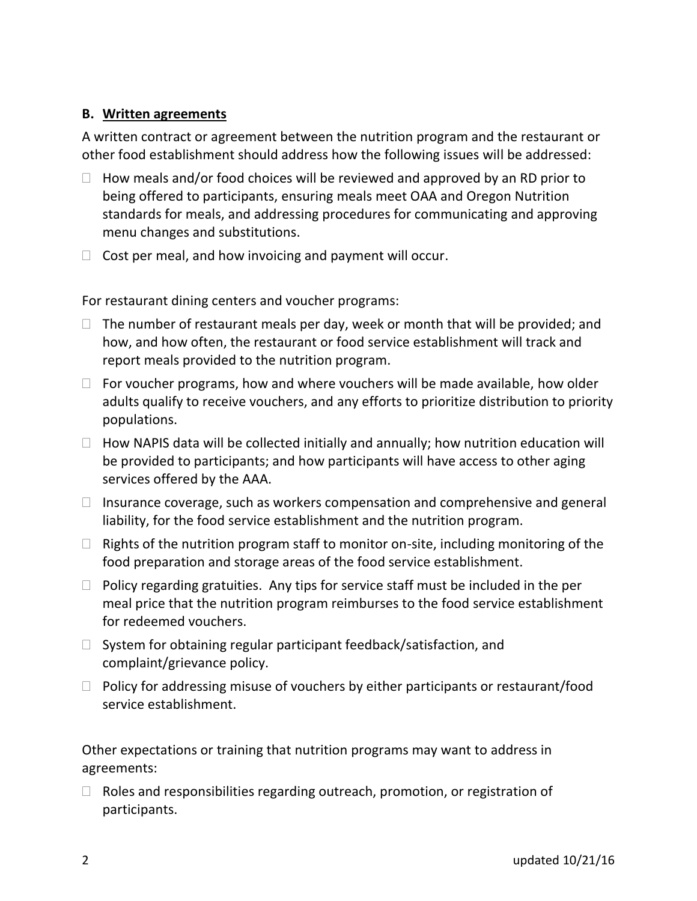## **B. Written agreements**

A written contract or agreement between the nutrition program and the restaurant or other food establishment should address how the following issues will be addressed:

- $\Box$  How meals and/or food choices will be reviewed and approved by an RD prior to being offered to participants, ensuring meals meet OAA and Oregon Nutrition standards for meals, and addressing procedures for communicating and approving menu changes and substitutions.
- $\Box$  Cost per meal, and how invoicing and payment will occur.

For restaurant dining centers and voucher programs:

- $\Box$  The number of restaurant meals per day, week or month that will be provided; and how, and how often, the restaurant or food service establishment will track and report meals provided to the nutrition program.
- $\Box$  For voucher programs, how and where vouchers will be made available, how older adults qualify to receive vouchers, and any efforts to prioritize distribution to priority populations.
- $\Box$  How NAPIS data will be collected initially and annually; how nutrition education will be provided to participants; and how participants will have access to other aging services offered by the AAA.
- $\Box$  Insurance coverage, such as workers compensation and comprehensive and general liability, for the food service establishment and the nutrition program.
- $\Box$  Rights of the nutrition program staff to monitor on-site, including monitoring of the food preparation and storage areas of the food service establishment.
- $\Box$  Policy regarding gratuities. Any tips for service staff must be included in the per meal price that the nutrition program reimburses to the food service establishment for redeemed vouchers.
- $\Box$  System for obtaining regular participant feedback/satisfaction, and complaint/grievance policy.
- $\Box$  Policy for addressing misuse of vouchers by either participants or restaurant/food service establishment.

Other expectations or training that nutrition programs may want to address in agreements:

 $\Box$  Roles and responsibilities regarding outreach, promotion, or registration of participants.